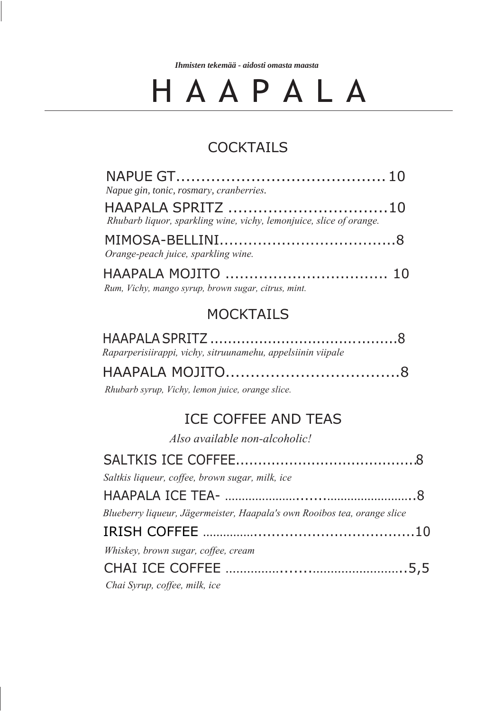*Ihmisten tekemää - aidosti omasta maasta*

## H A A P A L A

#### **COCKTAILS**

| Napue gin, tonic, rosmary, cranberries.                             |  |
|---------------------------------------------------------------------|--|
| Rhubarb liquor, sparkling wine, vichy, lemonjuice, slice of orange. |  |
|                                                                     |  |
| Orange-peach juice, sparkling wine.                                 |  |
| Rum, Vichy, mango syrup, brown sugar, citrus, mint.                 |  |

#### **MOCKTAILS**

| Raparperisiirappi, vichy, sitruunamehu, appelsiinin viipale |
|-------------------------------------------------------------|
|                                                             |

*Rhubarb syrup, Vichy, lemon juice, orange slice.*

#### ICE COFFEE AND TEAS

*Also available non-alcoholic!*

| Saltkis liqueur, coffee, brown sugar, milk, ice                          |  |
|--------------------------------------------------------------------------|--|
|                                                                          |  |
| Blueberry liqueur, Jägermeister, Haapala's own Rooibos tea, orange slice |  |
|                                                                          |  |
| Whiskey, brown sugar, coffee, cream                                      |  |
|                                                                          |  |
| Chai Syrup, coffee, milk, ice                                            |  |